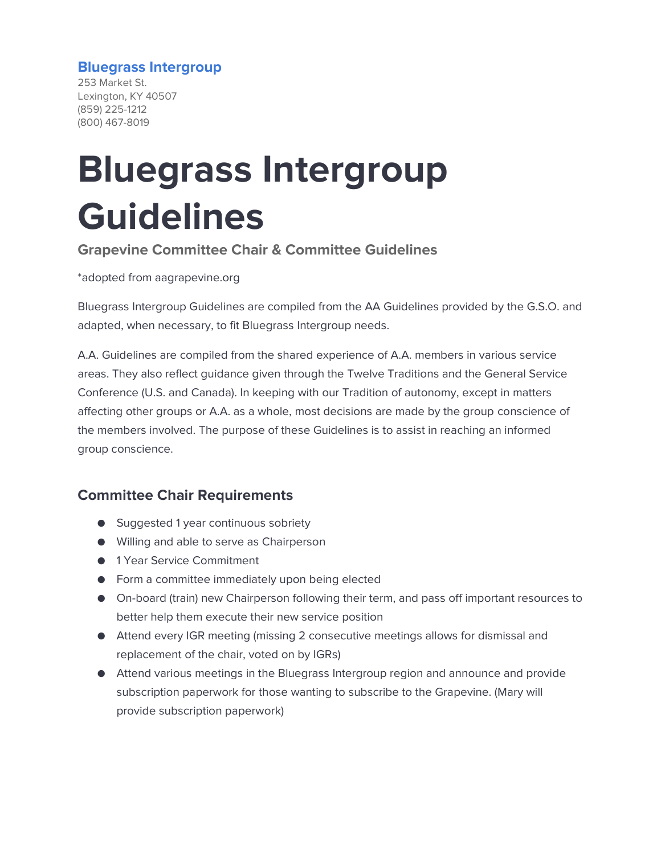#### **Bluegrass Intergroup**

253 Market St. Lexington, KY 40507 (859) 225-1212 (800) 467-8019

# **Bluegrass Intergroup Guidelines**

**Grapevine Committee Chair & Committee Guidelines**

\*adopted from aagrapevine.org

Bluegrass Intergroup Guidelines are compiled from the AA Guidelines provided by the G.S.O. and adapted, when necessary, to fit Bluegrass Intergroup needs.

A.A. Guidelines are compiled from the shared experience of A.A. members in various service areas. They also reflect guidance given through the Twelve Traditions and the General Service Conference (U.S. and Canada). In keeping with our Tradition of autonomy, except in matters affecting other groups or A.A. as a whole, most decisions are made by the group conscience of the members involved. The purpose of these Guidelines is to assist in reaching an informed group conscience.

## **Committee Chair Requirements**

- Suggested 1 year continuous sobriety
- Willing and able to serve as Chairperson
- 1 Year Service Commitment
- Form a committee immediately upon being elected
- On-board (train) new Chairperson following their term, and pass off important resources to better help them execute their new service position
- Attend every IGR meeting (missing 2 consecutive meetings allows for dismissal and replacement of the chair, voted on by IGRs)
- Attend various meetings in the Bluegrass Intergroup region and announce and provide subscription paperwork for those wanting to subscribe to the Grapevine. (Mary will provide subscription paperwork)